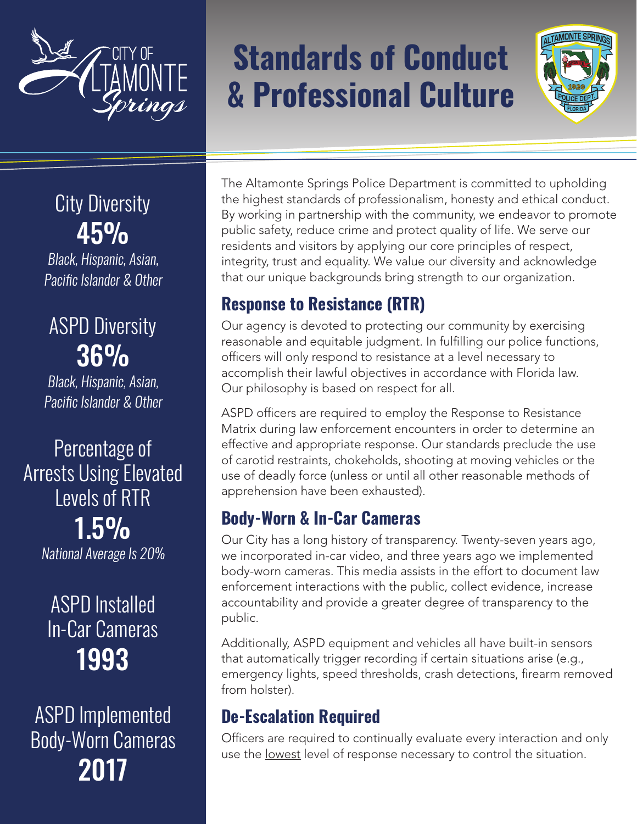

# **Standards of Conduct & Professional Culture**



# City Diversity 45%

Black, Hispanic, Asian, Pacific Islander & Other

# ASPD Diversity 36%

Black, Hispanic, Asian, Pacific Islander & Other

Percentage of Arrests Using Elevated Levels of RTR 1.5% National Average Is 20%

# ASPD Installed In-Car Cameras 1993

ASPD Implemented Body-Worn Cameras 2017

The Altamonte Springs Police Department is committed to upholding the highest standards of professionalism, honesty and ethical conduct. By working in partnership with the community, we endeavor to promote public safety, reduce crime and protect quality of life. We serve our residents and visitors by applying our core principles of respect, integrity, trust and equality. We value our diversity and acknowledge that our unique backgrounds bring strength to our organization.

## **Response to Resistance (RTR)**

Our agency is devoted to protecting our community by exercising reasonable and equitable judgment. In fulfilling our police functions, officers will only respond to resistance at a level necessary to accomplish their lawful objectives in accordance with Florida law. Our philosophy is based on respect for all.

ASPD officers are required to employ the Response to Resistance Matrix during law enforcement encounters in order to determine an effective and appropriate response. Our standards preclude the use of carotid restraints, chokeholds, shooting at moving vehicles or the use of deadly force (unless or until all other reasonable methods of apprehension have been exhausted).

#### **Body-Worn & In-Car Cameras**

Our City has a long history of transparency. Twenty-seven years ago, we incorporated in-car video, and three years ago we implemented body-worn cameras. This media assists in the effort to document law enforcement interactions with the public, collect evidence, increase accountability and provide a greater degree of transparency to the public.

Additionally, ASPD equipment and vehicles all have built-in sensors that automatically trigger recording if certain situations arise (e.g., emergency lights, speed thresholds, crash detections, firearm removed from holster).

#### **De-Escalation Required**

Officers are required to continually evaluate every interaction and only use the lowest level of response necessary to control the situation.